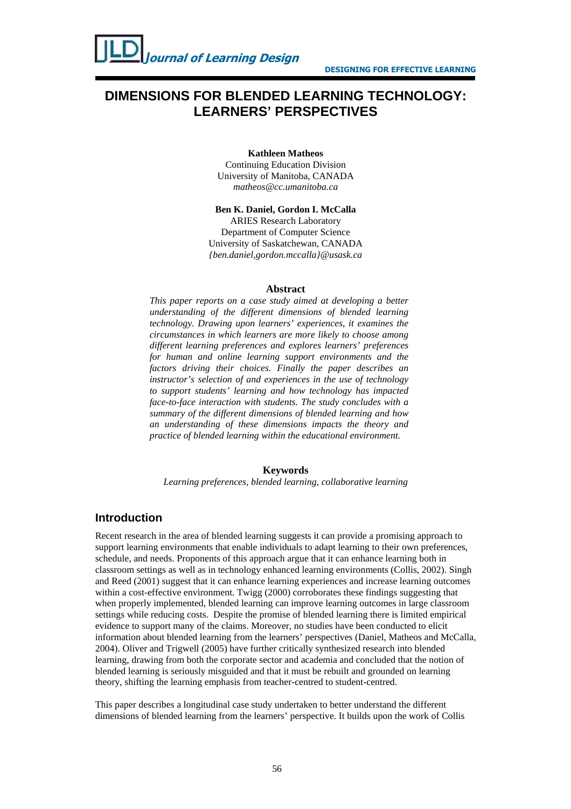# **DIMENSIONS FOR BLENDED LEARNING TECHNOLOGY: LEARNERS' PERSPECTIVES**

#### **Kathleen Matheos**

Continuing Education Division University of Manitoba, CANADA *matheos@cc.umanitoba.ca* 

#### **Ben K. Daniel, Gordon I. McCalla**

ARIES Research Laboratory Department of Computer Science University of Saskatchewan, CANADA *{ben.daniel,gordon.mccalla}@usask.ca* 

#### **Abstract**

*This paper reports on a case study aimed at developing a better understanding of the different dimensions of blended learning technology. Drawing upon learners' experiences, it examines the circumstances in which learners are more likely to choose among different learning preferences and explores learners' preferences for human and online learning support environments and the factors driving their choices. Finally the paper describes an instructor's selection of and experiences in the use of technology to support students' learning and how technology has impacted face-to-face interaction with students. The study concludes with a summary of the different dimensions of blended learning and how an understanding of these dimensions impacts the theory and practice of blended learning within the educational environment.* 

#### **Keywords**

*Learning preferences, blended learning, collaborative learning*

#### **Introduction**

Recent research in the area of blended learning suggests it can provide a promising approach to support learning environments that enable individuals to adapt learning to their own preferences, schedule, and needs. Proponents of this approach argue that it can enhance learning both in classroom settings as well as in technology enhanced learning environments (Collis, 2002). Singh and Reed (2001) suggest that it can enhance learning experiences and increase learning outcomes within a cost-effective environment. Twigg (2000) corroborates these findings suggesting that when properly implemented, blended learning can improve learning outcomes in large classroom settings while reducing costs. Despite the promise of blended learning there is limited empirical evidence to support many of the claims. Moreover, no studies have been conducted to elicit information about blended learning from the learners' perspectives (Daniel, Matheos and McCalla, 2004). Oliver and Trigwell (2005) have further critically synthesized research into blended learning, drawing from both the corporate sector and academia and concluded that the notion of blended learning is seriously misguided and that it must be rebuilt and grounded on learning theory, shifting the learning emphasis from teacher-centred to student-centred.

This paper describes a longitudinal case study undertaken to better understand the different dimensions of blended learning from the learners' perspective. It builds upon the work of Collis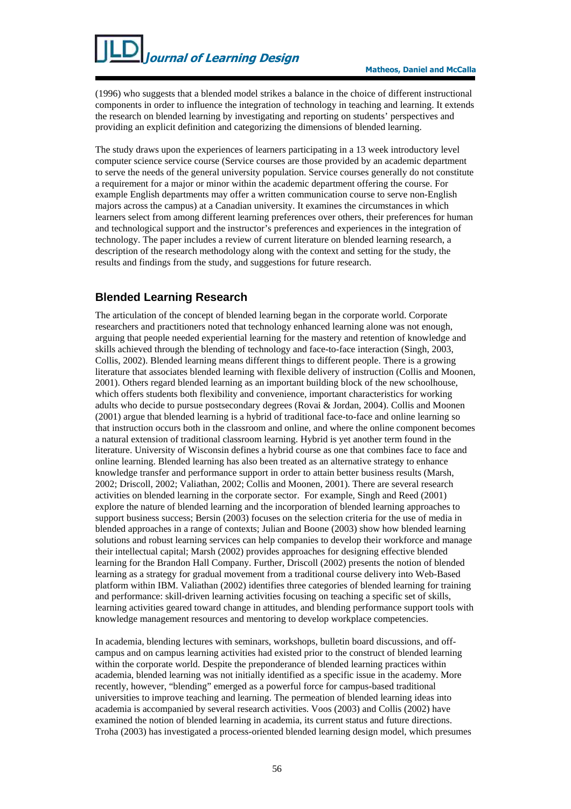(1996) who suggests that a blended model strikes a balance in the choice of different instructional components in order to influence the integration of technology in teaching and learning. It extends the research on blended learning by investigating and reporting on students' perspectives and providing an explicit definition and categorizing the dimensions of blended learning.

The study draws upon the experiences of learners participating in a 13 week introductory level computer science service course (Service courses are those provided by an academic department to serve the needs of the general university population. Service courses generally do not constitute a requirement for a major or minor within the academic department offering the course. For example English departments may offer a written communication course to serve non-English majors across the campus) at a Canadian university. It examines the circumstances in which learners select from among different learning preferences over others, their preferences for human and technological support and the instructor's preferences and experiences in the integration of technology. The paper includes a review of current literature on blended learning research, a description of the research methodology along with the context and setting for the study, the results and findings from the study, and suggestions for future research.

# **Blended Learning Research**

The articulation of the concept of blended learning began in the corporate world. Corporate researchers and practitioners noted that technology enhanced learning alone was not enough, arguing that people needed experiential learning for the mastery and retention of knowledge and skills achieved through the blending of technology and face-to-face interaction (Singh, 2003, Collis, 2002). Blended learning means different things to different people. There is a growing literature that associates blended learning with flexible delivery of instruction (Collis and Moonen, 2001). Others regard blended learning as an important building block of the new schoolhouse, which offers students both flexibility and convenience, important characteristics for working adults who decide to pursue postsecondary degrees (Rovai & Jordan, 2004). Collis and Moonen (2001) argue that blended learning is a hybrid of traditional face-to-face and online learning so that instruction occurs both in the classroom and online, and where the online component becomes a natural extension of traditional classroom learning. Hybrid is yet another term found in the literature. University of Wisconsin defines a hybrid course as one that combines face to face and online learning. Blended learning has also been treated as an alternative strategy to enhance knowledge transfer and performance support in order to attain better business results (Marsh, 2002; Driscoll, 2002; Valiathan, 2002; Collis and Moonen, 2001). There are several research activities on blended learning in the corporate sector. For example, Singh and Reed (2001) explore the nature of blended learning and the incorporation of blended learning approaches to support business success; Bersin (2003) focuses on the selection criteria for the use of media in blended approaches in a range of contexts; Julian and Boone (2003) show how blended learning solutions and robust learning services can help companies to develop their workforce and manage their intellectual capital; Marsh (2002) provides approaches for designing effective blended learning for the Brandon Hall Company. Further, Driscoll (2002) presents the notion of blended learning as a strategy for gradual movement from a traditional course delivery into Web-Based platform within IBM. Valiathan (2002) identifies three categories of blended learning for training and performance: skill-driven learning activities focusing on teaching a specific set of skills, learning activities geared toward change in attitudes, and blending performance support tools with knowledge management resources and mentoring to develop workplace competencies.

In academia, blending lectures with seminars, workshops, bulletin board discussions, and offcampus and on campus learning activities had existed prior to the construct of blended learning within the corporate world. Despite the preponderance of blended learning practices within academia, blended learning was not initially identified as a specific issue in the academy. More recently, however, "blending" emerged as a powerful force for campus-based traditional universities to improve teaching and learning. The permeation of blended learning ideas into academia is accompanied by several research activities. Voos (2003) and Collis (2002) have examined the notion of blended learning in academia, its current status and future directions. Troha (2003) has investigated a process-oriented blended learning design model, which presumes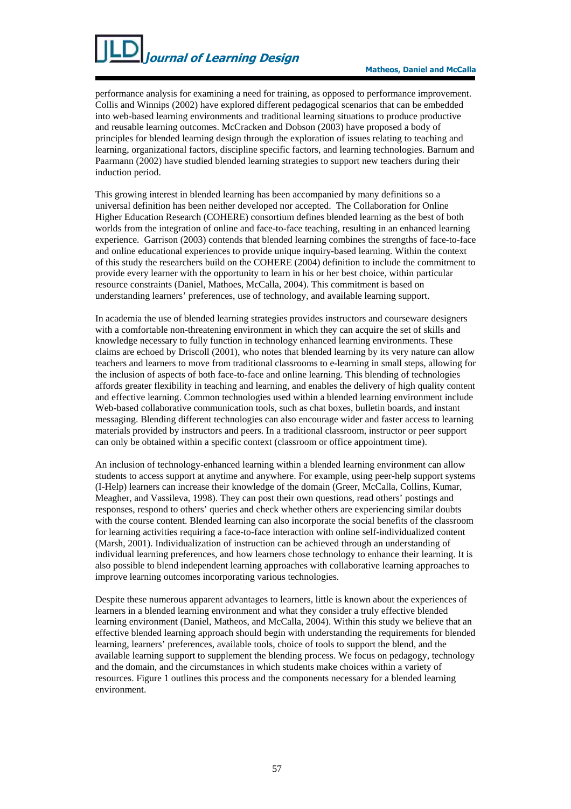

performance analysis for examining a need for training, as opposed to performance improvement. Collis and Winnips (2002) have explored different pedagogical scenarios that can be embedded into web-based learning environments and traditional learning situations to produce productive and reusable learning outcomes. McCracken and Dobson (2003) have proposed a body of principles for blended learning design through the exploration of issues relating to teaching and learning, organizational factors, discipline specific factors, and learning technologies. Barnum and Paarmann (2002) have studied blended learning strategies to support new teachers during their induction period.

This growing interest in blended learning has been accompanied by many definitions so a universal definition has been neither developed nor accepted. The Collaboration for Online Higher Education Research (COHERE) consortium defines blended learning as the best of both worlds from the integration of online and face-to-face teaching, resulting in an enhanced learning experience. Garrison (2003) contends that blended learning combines the strengths of face-to-face and online educational experiences to provide unique inquiry-based learning. Within the context of this study the researchers build on the COHERE (2004) definition to include the commitment to provide every learner with the opportunity to learn in his or her best choice, within particular resource constraints (Daniel, Mathoes, McCalla, 2004). This commitment is based on understanding learners' preferences, use of technology, and available learning support.

In academia the use of blended learning strategies provides instructors and courseware designers with a comfortable non-threatening environment in which they can acquire the set of skills and knowledge necessary to fully function in technology enhanced learning environments. These claims are echoed by Driscoll (2001), who notes that blended learning by its very nature can allow teachers and learners to move from traditional classrooms to e-learning in small steps, allowing for the inclusion of aspects of both face-to-face and online learning. This blending of technologies affords greater flexibility in teaching and learning, and enables the delivery of high quality content and effective learning. Common technologies used within a blended learning environment include Web-based collaborative communication tools, such as chat boxes, bulletin boards, and instant messaging. Blending different technologies can also encourage wider and faster access to learning materials provided by instructors and peers. In a traditional classroom, instructor or peer support can only be obtained within a specific context (classroom or office appointment time).

An inclusion of technology-enhanced learning within a blended learning environment can allow students to access support at anytime and anywhere. For example, using peer-help support systems (I-Help) learners can increase their knowledge of the domain (Greer, McCalla, Collins, Kumar, Meagher, and Vassileva, 1998). They can post their own questions, read others' postings and responses, respond to others' queries and check whether others are experiencing similar doubts with the course content. Blended learning can also incorporate the social benefits of the classroom for learning activities requiring a face-to-face interaction with online self-individualized content (Marsh, 2001). Individualization of instruction can be achieved through an understanding of individual learning preferences, and how learners chose technology to enhance their learning. It is also possible to blend independent learning approaches with collaborative learning approaches to improve learning outcomes incorporating various technologies.

Despite these numerous apparent advantages to learners, little is known about the experiences of learners in a blended learning environment and what they consider a truly effective blended learning environment (Daniel, Matheos, and McCalla, 2004). Within this study we believe that an effective blended learning approach should begin with understanding the requirements for blended learning, learners' preferences, available tools, choice of tools to support the blend, and the available learning support to supplement the blending process. We focus on pedagogy, technology and the domain, and the circumstances in which students make choices within a variety of resources. Figure 1 outlines this process and the components necessary for a blended learning environment.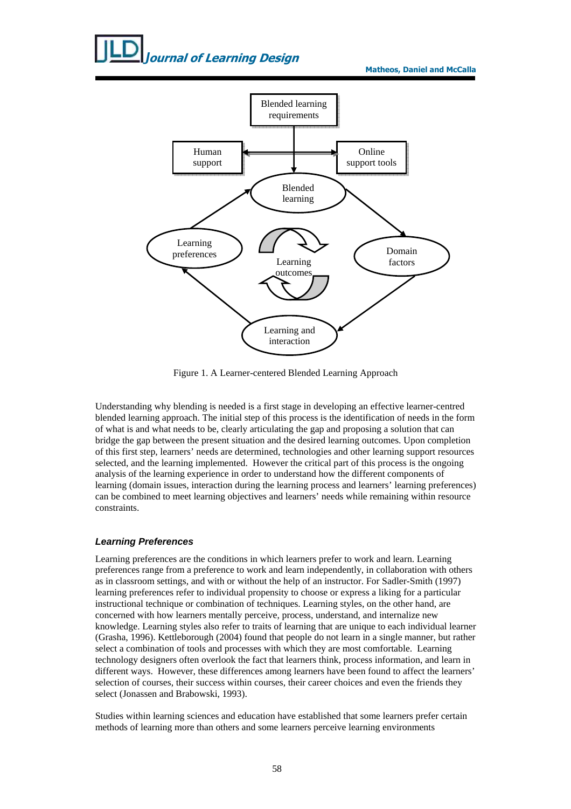

Figure 1. A Learner-centered Blended Learning Approach

Understanding why blending is needed is a first stage in developing an effective learner-centred blended learning approach. The initial step of this process is the identification of needs in the form of what is and what needs to be, clearly articulating the gap and proposing a solution that can bridge the gap between the present situation and the desired learning outcomes. Upon completion of this first step, learners' needs are determined, technologies and other learning support resources selected, and the learning implemented. However the critical part of this process is the ongoing analysis of the learning experience in order to understand how the different components of learning (domain issues, interaction during the learning process and learners' learning preferences) can be combined to meet learning objectives and learners' needs while remaining within resource constraints.

#### **Learning Preferences**

Learning preferences are the conditions in which learners prefer to work and learn. Learning preferences range from a preference to work and learn independently, in collaboration with others as in classroom settings, and with or without the help of an instructor. For Sadler-Smith (1997) learning preferences refer to individual propensity to choose or express a liking for a particular instructional technique or combination of techniques. Learning styles, on the other hand, are concerned with how learners mentally perceive, process, understand, and internalize new knowledge. Learning styles also refer to traits of learning that are unique to each individual learner (Grasha, 1996). Kettleborough (2004) found that people do not learn in a single manner, but rather select a combination of tools and processes with which they are most comfortable. Learning technology designers often overlook the fact that learners think, process information, and learn in different ways. However, these differences among learners have been found to affect the learners' selection of courses, their success within courses, their career choices and even the friends they select (Jonassen and Brabowski, 1993).

Studies within learning sciences and education have established that some learners prefer certain methods of learning more than others and some learners perceive learning environments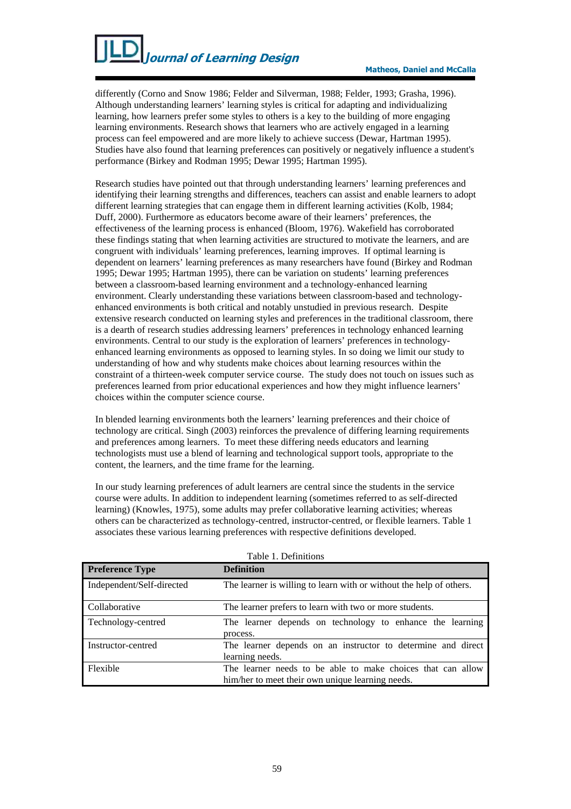differently (Corno and Snow 1986; Felder and Silverman, 1988; Felder, 1993; Grasha, 1996). Although understanding learners' learning styles is critical for adapting and individualizing learning, how learners prefer some styles to others is a key to the building of more engaging learning environments. Research shows that learners who are actively engaged in a learning process can feel empowered and are more likely to achieve success (Dewar, Hartman 1995). Studies have also found that learning preferences can positively or negatively influence a student's performance (Birkey and Rodman 1995; Dewar 1995; Hartman 1995).

Research studies have pointed out that through understanding learners' learning preferences and identifying their learning strengths and differences, teachers can assist and enable learners to adopt different learning strategies that can engage them in different learning activities (Kolb, 1984; Duff, 2000). Furthermore as educators become aware of their learners' preferences, the effectiveness of the learning process is enhanced (Bloom, 1976). Wakefield has corroborated these findings stating that when learning activities are structured to motivate the learners, and are congruent with individuals' learning preferences, learning improves. If optimal learning is dependent on learners' learning preferences as many researchers have found (Birkey and Rodman 1995; Dewar 1995; Hartman 1995), there can be variation on students' learning preferences between a classroom-based learning environment and a technology-enhanced learning environment. Clearly understanding these variations between classroom-based and technologyenhanced environments is both critical and notably unstudied in previous research. Despite extensive research conducted on learning styles and preferences in the traditional classroom, there is a dearth of research studies addressing learners' preferences in technology enhanced learning environments. Central to our study is the exploration of learners' preferences in technologyenhanced learning environments as opposed to learning styles. In so doing we limit our study to understanding of how and why students make choices about learning resources within the constraint of a thirteen-week computer service course. The study does not touch on issues such as preferences learned from prior educational experiences and how they might influence learners' choices within the computer science course.

In blended learning environments both the learners' learning preferences and their choice of technology are critical. Singh (2003) reinforces the prevalence of differing learning requirements and preferences among learners. To meet these differing needs educators and learning technologists must use a blend of learning and technological support tools, appropriate to the content, the learners, and the time frame for the learning.

In our study learning preferences of adult learners are central since the students in the service course were adults. In addition to independent learning (sometimes referred to as self-directed learning) (Knowles, 1975), some adults may prefer collaborative learning activities; whereas others can be characterized as technology-centred, instructor-centred, or flexible learners. Table 1 associates these various learning preferences with respective definitions developed.

| <b>Preference Type</b>    | <b>Definition</b>                                                                                               |
|---------------------------|-----------------------------------------------------------------------------------------------------------------|
| Independent/Self-directed | The learner is willing to learn with or without the help of others.                                             |
| Collaborative             | The learner prefers to learn with two or more students.                                                         |
| Technology-centred        | The learner depends on technology to enhance the learning<br>process.                                           |
| Instructor-centred        | The learner depends on an instructor to determine and direct<br>learning needs.                                 |
| Flexible                  | The learner needs to be able to make choices that can allow<br>him/her to meet their own unique learning needs. |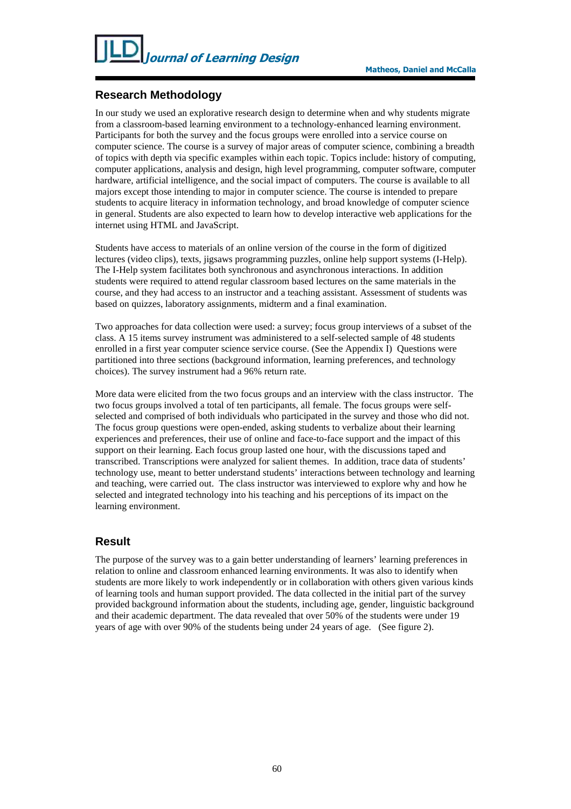# **Research Methodology**

In our study we used an explorative research design to determine when and why students migrate from a classroom-based learning environment to a technology-enhanced learning environment. Participants for both the survey and the focus groups were enrolled into a service course on computer science. The course is a survey of major areas of computer science, combining a breadth of topics with depth via specific examples within each topic. Topics include: history of computing, computer applications, analysis and design, high level programming, computer software, computer hardware, artificial intelligence, and the social impact of computers. The course is available to all majors except those intending to major in computer science. The course is intended to prepare students to acquire literacy in information technology, and broad knowledge of computer science in general. Students are also expected to learn how to develop interactive web applications for the internet using HTML and JavaScript.

Students have access to materials of an online version of the course in the form of digitized lectures (video clips), texts, jigsaws programming puzzles, online help support systems (I-Help). The I-Help system facilitates both synchronous and asynchronous interactions. In addition students were required to attend regular classroom based lectures on the same materials in the course, and they had access to an instructor and a teaching assistant. Assessment of students was based on quizzes, laboratory assignments, midterm and a final examination.

Two approaches for data collection were used: a survey; focus group interviews of a subset of the class. A 15 items survey instrument was administered to a self-selected sample of 48 students enrolled in a first year computer science service course. (See the Appendix I) Questions were partitioned into three sections (background information, learning preferences, and technology choices). The survey instrument had a 96% return rate.

More data were elicited from the two focus groups and an interview with the class instructor. The two focus groups involved a total of ten participants, all female. The focus groups were selfselected and comprised of both individuals who participated in the survey and those who did not. The focus group questions were open-ended, asking students to verbalize about their learning experiences and preferences, their use of online and face-to-face support and the impact of this support on their learning. Each focus group lasted one hour, with the discussions taped and transcribed. Transcriptions were analyzed for salient themes. In addition, trace data of students' technology use, meant to better understand students' interactions between technology and learning and teaching, were carried out. The class instructor was interviewed to explore why and how he selected and integrated technology into his teaching and his perceptions of its impact on the learning environment.

### **Result**

The purpose of the survey was to a gain better understanding of learners' learning preferences in relation to online and classroom enhanced learning environments. It was also to identify when students are more likely to work independently or in collaboration with others given various kinds of learning tools and human support provided. The data collected in the initial part of the survey provided background information about the students, including age, gender, linguistic background and their academic department. The data revealed that over 50% of the students were under 19 years of age with over 90% of the students being under 24 years of age. (See figure 2).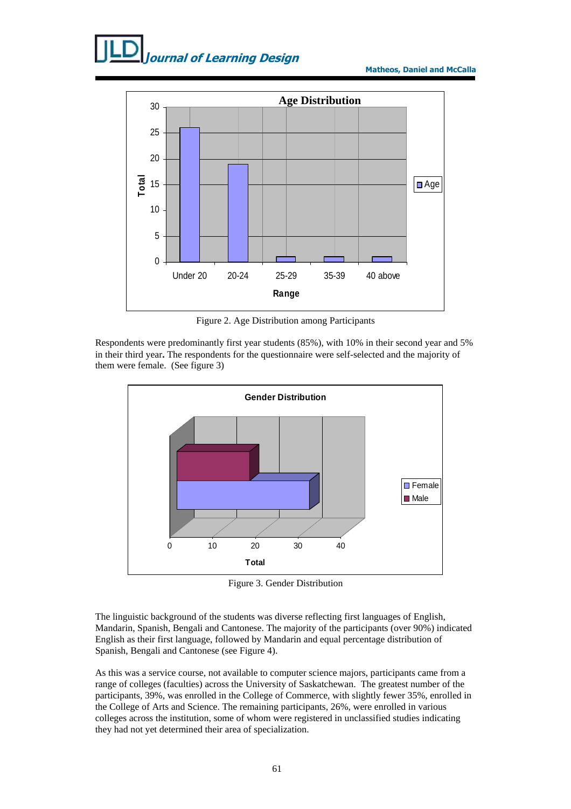

Figure 2. Age Distribution among Participants

Respondents were predominantly first year students (85%), with 10% in their second year and 5% in their third year**.** The respondents for the questionnaire were self-selected and the majority of them were female. (See figure 3)



Figure 3. Gender Distribution

The linguistic background of the students was diverse reflecting first languages of English, Mandarin, Spanish, Bengali and Cantonese. The majority of the participants (over 90%) indicated English as their first language, followed by Mandarin and equal percentage distribution of Spanish, Bengali and Cantonese (see Figure 4).

As this was a service course, not available to computer science majors, participants came from a range of colleges (faculties) across the University of Saskatchewan. The greatest number of the participants, 39%, was enrolled in the College of Commerce, with slightly fewer 35%, enrolled in the College of Arts and Science. The remaining participants, 26%, were enrolled in various colleges across the institution, some of whom were registered in unclassified studies indicating they had not yet determined their area of specialization.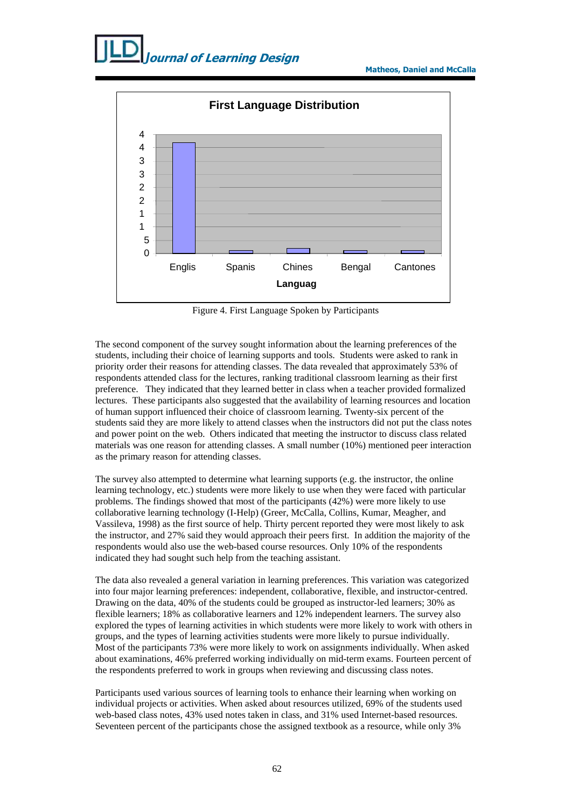

Figure 4. First Language Spoken by Participants

The second component of the survey sought information about the learning preferences of the students, including their choice of learning supports and tools. Students were asked to rank in priority order their reasons for attending classes. The data revealed that approximately 53% of respondents attended class for the lectures, ranking traditional classroom learning as their first preference. They indicated that they learned better in class when a teacher provided formalized lectures. These participants also suggested that the availability of learning resources and location of human support influenced their choice of classroom learning. Twenty-six percent of the students said they are more likely to attend classes when the instructors did not put the class notes and power point on the web. Others indicated that meeting the instructor to discuss class related materials was one reason for attending classes. A small number (10%) mentioned peer interaction as the primary reason for attending classes.

The survey also attempted to determine what learning supports (e.g. the instructor, the online learning technology, etc.) students were more likely to use when they were faced with particular problems. The findings showed that most of the participants (42%) were more likely to use collaborative learning technology (I-Help) (Greer, McCalla, Collins, Kumar, Meagher, and Vassileva, 1998) as the first source of help. Thirty percent reported they were most likely to ask the instructor, and 27% said they would approach their peers first. In addition the majority of the respondents would also use the web-based course resources. Only 10% of the respondents indicated they had sought such help from the teaching assistant.

The data also revealed a general variation in learning preferences. This variation was categorized into four major learning preferences: independent, collaborative, flexible, and instructor-centred. Drawing on the data, 40% of the students could be grouped as instructor-led learners; 30% as flexible learners; 18% as collaborative learners and 12% independent learners. The survey also explored the types of learning activities in which students were more likely to work with others in groups, and the types of learning activities students were more likely to pursue individually. Most of the participants 73% were more likely to work on assignments individually. When asked about examinations, 46% preferred working individually on mid-term exams. Fourteen percent of the respondents preferred to work in groups when reviewing and discussing class notes.

Participants used various sources of learning tools to enhance their learning when working on individual projects or activities. When asked about resources utilized, 69% of the students used web-based class notes, 43% used notes taken in class, and 31% used Internet-based resources. Seventeen percent of the participants chose the assigned textbook as a resource, while only 3%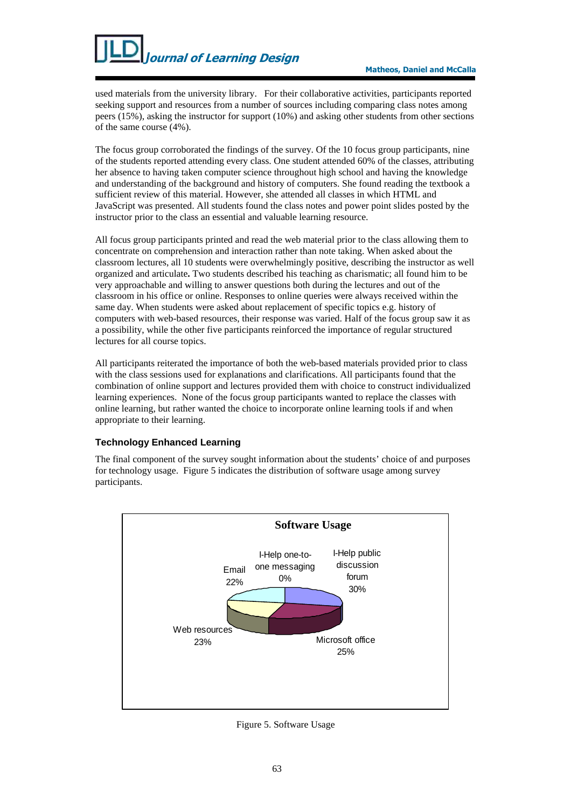used materials from the university library. For their collaborative activities, participants reported seeking support and resources from a number of sources including comparing class notes among peers (15%), asking the instructor for support (10%) and asking other students from other sections of the same course (4%).

The focus group corroborated the findings of the survey. Of the 10 focus group participants, nine of the students reported attending every class. One student attended 60% of the classes, attributing her absence to having taken computer science throughout high school and having the knowledge and understanding of the background and history of computers. She found reading the textbook a sufficient review of this material. However, she attended all classes in which HTML and JavaScript was presented. All students found the class notes and power point slides posted by the instructor prior to the class an essential and valuable learning resource.

All focus group participants printed and read the web material prior to the class allowing them to concentrate on comprehension and interaction rather than note taking. When asked about the classroom lectures, all 10 students were overwhelmingly positive, describing the instructor as well organized and articulate**.** Two students described his teaching as charismatic; all found him to be very approachable and willing to answer questions both during the lectures and out of the classroom in his office or online. Responses to online queries were always received within the same day. When students were asked about replacement of specific topics e.g. history of computers with web-based resources, their response was varied. Half of the focus group saw it as a possibility, while the other five participants reinforced the importance of regular structured lectures for all course topics.

All participants reiterated the importance of both the web-based materials provided prior to class with the class sessions used for explanations and clarifications. All participants found that the combination of online support and lectures provided them with choice to construct individualized learning experiences. None of the focus group participants wanted to replace the classes with online learning, but rather wanted the choice to incorporate online learning tools if and when appropriate to their learning.

#### **Technology Enhanced Learning**

The final component of the survey sought information about the students' choice of and purposes for technology usage. Figure 5 indicates the distribution of software usage among survey participants.



Figure 5. Software Usage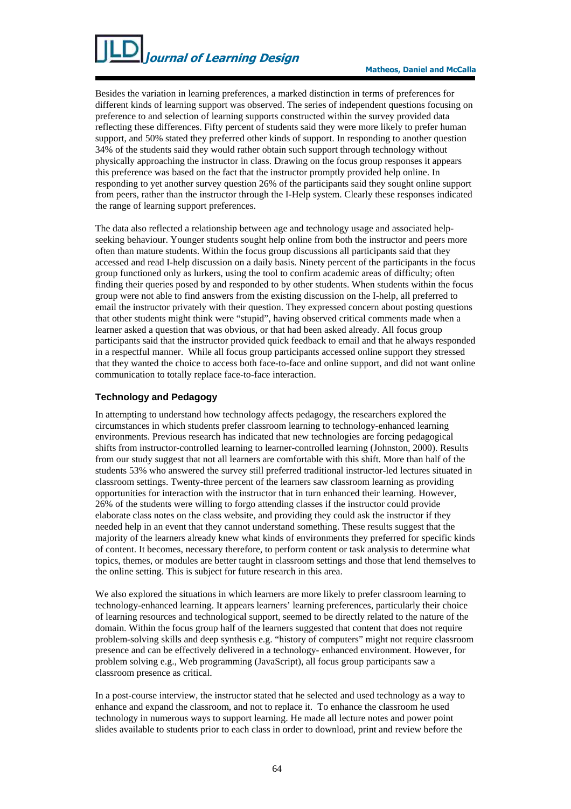Besides the variation in learning preferences, a marked distinction in terms of preferences for different kinds of learning support was observed. The series of independent questions focusing on preference to and selection of learning supports constructed within the survey provided data reflecting these differences. Fifty percent of students said they were more likely to prefer human support, and 50% stated they preferred other kinds of support. In responding to another question 34% of the students said they would rather obtain such support through technology without physically approaching the instructor in class. Drawing on the focus group responses it appears this preference was based on the fact that the instructor promptly provided help online. In responding to yet another survey question 26% of the participants said they sought online support from peers, rather than the instructor through the I-Help system. Clearly these responses indicated the range of learning support preferences.

The data also reflected a relationship between age and technology usage and associated helpseeking behaviour. Younger students sought help online from both the instructor and peers more often than mature students. Within the focus group discussions all participants said that they accessed and read I-help discussion on a daily basis. Ninety percent of the participants in the focus group functioned only as lurkers, using the tool to confirm academic areas of difficulty; often finding their queries posed by and responded to by other students. When students within the focus group were not able to find answers from the existing discussion on the I-help, all preferred to email the instructor privately with their question. They expressed concern about posting questions that other students might think were "stupid", having observed critical comments made when a learner asked a question that was obvious, or that had been asked already. All focus group participants said that the instructor provided quick feedback to email and that he always responded in a respectful manner. While all focus group participants accessed online support they stressed that they wanted the choice to access both face-to-face and online support, and did not want online communication to totally replace face-to-face interaction.

#### **Technology and Pedagogy**

In attempting to understand how technology affects pedagogy, the researchers explored the circumstances in which students prefer classroom learning to technology-enhanced learning environments. Previous research has indicated that new technologies are forcing pedagogical shifts from instructor-controlled learning to learner-controlled learning (Johnston, 2000). Results from our study suggest that not all learners are comfortable with this shift. More than half of the students 53% who answered the survey still preferred traditional instructor-led lectures situated in classroom settings. Twenty-three percent of the learners saw classroom learning as providing opportunities for interaction with the instructor that in turn enhanced their learning. However, 26% of the students were willing to forgo attending classes if the instructor could provide elaborate class notes on the class website, and providing they could ask the instructor if they needed help in an event that they cannot understand something. These results suggest that the majority of the learners already knew what kinds of environments they preferred for specific kinds of content. It becomes, necessary therefore, to perform content or task analysis to determine what topics, themes, or modules are better taught in classroom settings and those that lend themselves to the online setting. This is subject for future research in this area.

We also explored the situations in which learners are more likely to prefer classroom learning to technology-enhanced learning. It appears learners' learning preferences, particularly their choice of learning resources and technological support, seemed to be directly related to the nature of the domain. Within the focus group half of the learners suggested that content that does not require problem-solving skills and deep synthesis e.g. "history of computers" might not require classroom presence and can be effectively delivered in a technology- enhanced environment. However, for problem solving e.g., Web programming (JavaScript), all focus group participants saw a classroom presence as critical.

In a post-course interview, the instructor stated that he selected and used technology as a way to enhance and expand the classroom, and not to replace it. To enhance the classroom he used technology in numerous ways to support learning. He made all lecture notes and power point slides available to students prior to each class in order to download, print and review before the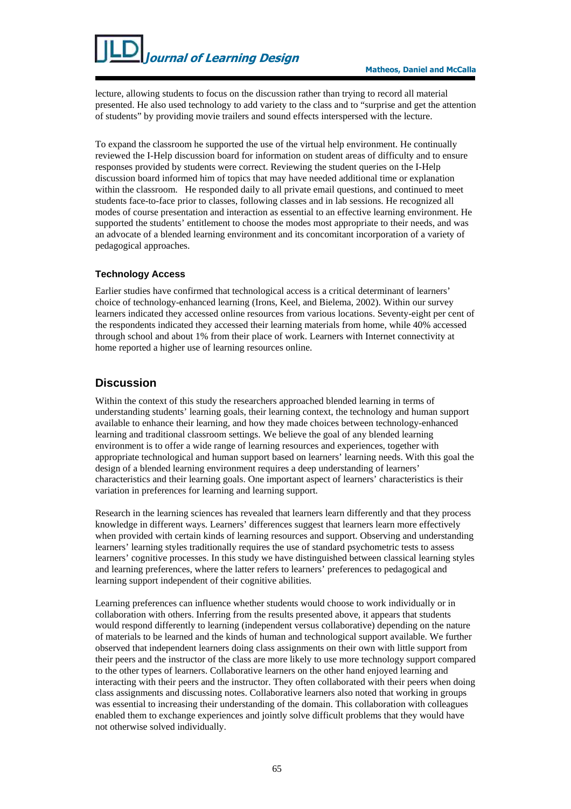lecture, allowing students to focus on the discussion rather than trying to record all material presented. He also used technology to add variety to the class and to "surprise and get the attention of students" by providing movie trailers and sound effects interspersed with the lecture.

To expand the classroom he supported the use of the virtual help environment. He continually reviewed the I-Help discussion board for information on student areas of difficulty and to ensure responses provided by students were correct. Reviewing the student queries on the I-Help discussion board informed him of topics that may have needed additional time or explanation within the classroom. He responded daily to all private email questions, and continued to meet students face-to-face prior to classes, following classes and in lab sessions. He recognized all modes of course presentation and interaction as essential to an effective learning environment. He supported the students' entitlement to choose the modes most appropriate to their needs, and was an advocate of a blended learning environment and its concomitant incorporation of a variety of pedagogical approaches.

#### **Technology Access**

Earlier studies have confirmed that technological access is a critical determinant of learners' choice of technology-enhanced learning (Irons, Keel, and Bielema, 2002). Within our survey learners indicated they accessed online resources from various locations. Seventy-eight per cent of the respondents indicated they accessed their learning materials from home, while 40% accessed through school and about 1% from their place of work. Learners with Internet connectivity at home reported a higher use of learning resources online.

# **Discussion**

Within the context of this study the researchers approached blended learning in terms of understanding students' learning goals, their learning context, the technology and human support available to enhance their learning, and how they made choices between technology-enhanced learning and traditional classroom settings. We believe the goal of any blended learning environment is to offer a wide range of learning resources and experiences, together with appropriate technological and human support based on learners' learning needs. With this goal the design of a blended learning environment requires a deep understanding of learners' characteristics and their learning goals. One important aspect of learners' characteristics is their variation in preferences for learning and learning support.

Research in the learning sciences has revealed that learners learn differently and that they process knowledge in different ways. Learners' differences suggest that learners learn more effectively when provided with certain kinds of learning resources and support. Observing and understanding learners' learning styles traditionally requires the use of standard psychometric tests to assess learners' cognitive processes. In this study we have distinguished between classical learning styles and learning preferences, where the latter refers to learners' preferences to pedagogical and learning support independent of their cognitive abilities.

Learning preferences can influence whether students would choose to work individually or in collaboration with others. Inferring from the results presented above, it appears that students would respond differently to learning (independent versus collaborative) depending on the nature of materials to be learned and the kinds of human and technological support available. We further observed that independent learners doing class assignments on their own with little support from their peers and the instructor of the class are more likely to use more technology support compared to the other types of learners. Collaborative learners on the other hand enjoyed learning and interacting with their peers and the instructor. They often collaborated with their peers when doing class assignments and discussing notes. Collaborative learners also noted that working in groups was essential to increasing their understanding of the domain. This collaboration with colleagues enabled them to exchange experiences and jointly solve difficult problems that they would have not otherwise solved individually.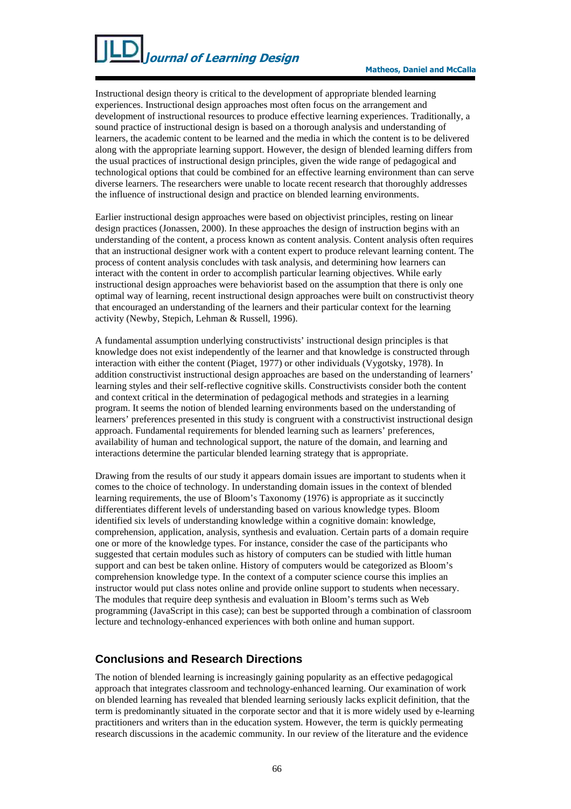Instructional design theory is critical to the development of appropriate blended learning experiences. Instructional design approaches most often focus on the arrangement and development of instructional resources to produce effective learning experiences. Traditionally, a sound practice of instructional design is based on a thorough analysis and understanding of learners, the academic content to be learned and the media in which the content is to be delivered along with the appropriate learning support. However, the design of blended learning differs from the usual practices of instructional design principles, given the wide range of pedagogical and technological options that could be combined for an effective learning environment than can serve diverse learners. The researchers were unable to locate recent research that thoroughly addresses the influence of instructional design and practice on blended learning environments.

Earlier instructional design approaches were based on objectivist principles, resting on linear design practices (Jonassen, 2000). In these approaches the design of instruction begins with an understanding of the content, a process known as content analysis. Content analysis often requires that an instructional designer work with a content expert to produce relevant learning content. The process of content analysis concludes with task analysis, and determining how learners can interact with the content in order to accomplish particular learning objectives. While early instructional design approaches were behaviorist based on the assumption that there is only one optimal way of learning, recent instructional design approaches were built on constructivist theory that encouraged an understanding of the learners and their particular context for the learning activity (Newby, Stepich, Lehman & Russell, 1996).

A fundamental assumption underlying constructivists' instructional design principles is that knowledge does not exist independently of the learner and that knowledge is constructed through interaction with either the content (Piaget, 1977) or other individuals (Vygotsky, 1978). In addition constructivist instructional design approaches are based on the understanding of learners' learning styles and their self-reflective cognitive skills. Constructivists consider both the content and context critical in the determination of pedagogical methods and strategies in a learning program. It seems the notion of blended learning environments based on the understanding of learners' preferences presented in this study is congruent with a constructivist instructional design approach. Fundamental requirements for blended learning such as learners' preferences, availability of human and technological support, the nature of the domain, and learning and interactions determine the particular blended learning strategy that is appropriate.

Drawing from the results of our study it appears domain issues are important to students when it comes to the choice of technology. In understanding domain issues in the context of blended learning requirements, the use of Bloom's Taxonomy (1976) is appropriate as it succinctly differentiates different levels of understanding based on various knowledge types. Bloom identified six levels of understanding knowledge within a cognitive domain: knowledge, comprehension, application, analysis, synthesis and evaluation. Certain parts of a domain require one or more of the knowledge types. For instance, consider the case of the participants who suggested that certain modules such as history of computers can be studied with little human support and can best be taken online. History of computers would be categorized as Bloom's comprehension knowledge type. In the context of a computer science course this implies an instructor would put class notes online and provide online support to students when necessary. The modules that require deep synthesis and evaluation in Bloom's terms such as Web programming (JavaScript in this case); can best be supported through a combination of classroom lecture and technology-enhanced experiences with both online and human support.

#### **Conclusions and Research Directions**

The notion of blended learning is increasingly gaining popularity as an effective pedagogical approach that integrates classroom and technology-enhanced learning. Our examination of work on blended learning has revealed that blended learning seriously lacks explicit definition, that the term is predominantly situated in the corporate sector and that it is more widely used by e-learning practitioners and writers than in the education system. However, the term is quickly permeating research discussions in the academic community. In our review of the literature and the evidence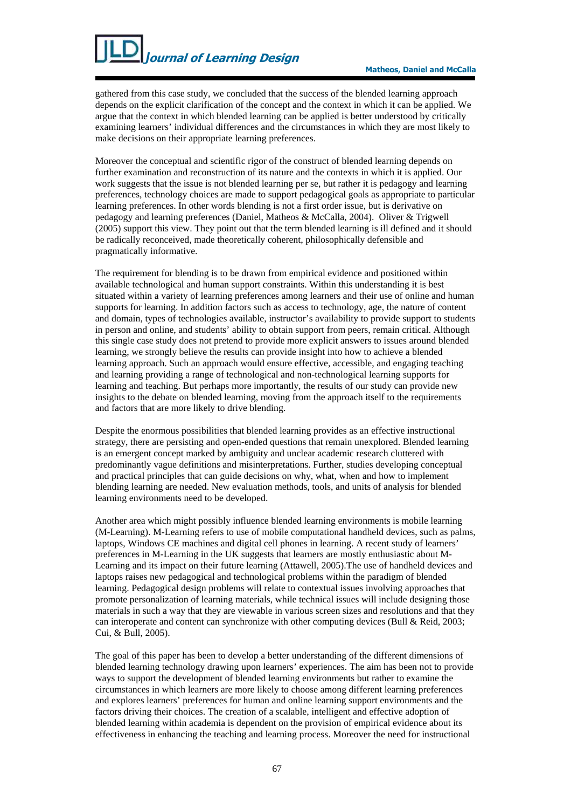gathered from this case study, we concluded that the success of the blended learning approach depends on the explicit clarification of the concept and the context in which it can be applied. We argue that the context in which blended learning can be applied is better understood by critically examining learners' individual differences and the circumstances in which they are most likely to make decisions on their appropriate learning preferences.

Moreover the conceptual and scientific rigor of the construct of blended learning depends on further examination and reconstruction of its nature and the contexts in which it is applied. Our work suggests that the issue is not blended learning per se, but rather it is pedagogy and learning preferences, technology choices are made to support pedagogical goals as appropriate to particular learning preferences. In other words blending is not a first order issue, but is derivative on pedagogy and learning preferences (Daniel, Matheos & McCalla, 2004). Oliver & Trigwell (2005) support this view. They point out that the term blended learning is ill defined and it should be radically reconceived, made theoretically coherent, philosophically defensible and pragmatically informative.

The requirement for blending is to be drawn from empirical evidence and positioned within available technological and human support constraints. Within this understanding it is best situated within a variety of learning preferences among learners and their use of online and human supports for learning. In addition factors such as access to technology, age, the nature of content and domain, types of technologies available, instructor's availability to provide support to students in person and online, and students' ability to obtain support from peers, remain critical. Although this single case study does not pretend to provide more explicit answers to issues around blended learning, we strongly believe the results can provide insight into how to achieve a blended learning approach. Such an approach would ensure effective, accessible, and engaging teaching and learning providing a range of technological and non-technological learning supports for learning and teaching. But perhaps more importantly, the results of our study can provide new insights to the debate on blended learning, moving from the approach itself to the requirements and factors that are more likely to drive blending.

Despite the enormous possibilities that blended learning provides as an effective instructional strategy, there are persisting and open-ended questions that remain unexplored. Blended learning is an emergent concept marked by ambiguity and unclear academic research cluttered with predominantly vague definitions and misinterpretations. Further, studies developing conceptual and practical principles that can guide decisions on why, what, when and how to implement blending learning are needed. New evaluation methods, tools, and units of analysis for blended learning environments need to be developed.

Another area which might possibly influence blended learning environments is mobile learning (M-Learning). M-Learning refers to use of mobile computational handheld devices, such as palms, laptops, Windows CE machines and digital cell phones in learning. A recent study of learners' preferences in M-Learning in the UK suggests that learners are mostly enthusiastic about M-Learning and its impact on their future learning (Attawell, 2005).The use of handheld devices and laptops raises new pedagogical and technological problems within the paradigm of blended learning. Pedagogical design problems will relate to contextual issues involving approaches that promote personalization of learning materials, while technical issues will include designing those materials in such a way that they are viewable in various screen sizes and resolutions and that they can interoperate and content can synchronize with other computing devices (Bull & Reid, 2003; Cui, & Bull, 2005).

The goal of this paper has been to develop a better understanding of the different dimensions of blended learning technology drawing upon learners' experiences. The aim has been not to provide ways to support the development of blended learning environments but rather to examine the circumstances in which learners are more likely to choose among different learning preferences and explores learners' preferences for human and online learning support environments and the factors driving their choices. The creation of a scalable, intelligent and effective adoption of blended learning within academia is dependent on the provision of empirical evidence about its effectiveness in enhancing the teaching and learning process. Moreover the need for instructional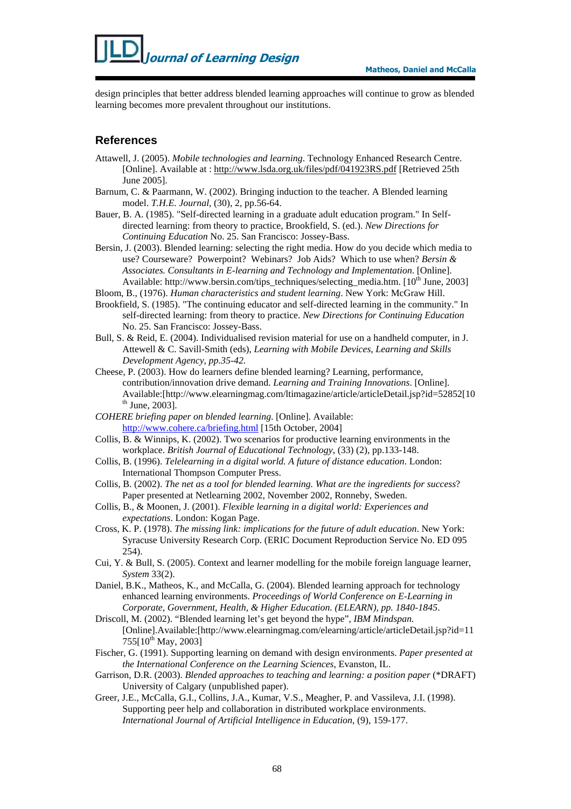design principles that better address blended learning approaches will continue to grow as blended learning becomes more prevalent throughout our institutions.

### **References**

- Attawell, J. (2005). *Mobile technologies and learning*. Technology Enhanced Research Centre. [Online]. Available at : http://www.lsda.org.uk/files/pdf/041923RS.pdf [Retrieved 25th June 2005].
- Barnum, C. & Paarmann, W. (2002). Bringing induction to the teacher. A Blended learning model. *T.H.E. Journal*, (30), 2, pp.56-64.
- Bauer, B. A. (1985). "Self-directed learning in a graduate adult education program." In Selfdirected learning: from theory to practice, Brookfield, S. (ed.). *New Directions for Continuing Education* No. 25. San Francisco: Jossey-Bass.
- Bersin, J. (2003). Blended learning: selecting the right media. How do you decide which media to use? Courseware? Powerpoint? Webinars? Job Aids? Which to use when? *Bersin & Associates. Consultants in E-learning and Technology and Implementation*. [Online]. Available: http://www.bersin.com/tips\_techniques/selecting\_media.htm.  $[10<sup>th</sup> June, 2003]$
- Bloom, B., (1976). *Human characteristics and student learning*. New York: McGraw Hill.
- Brookfield, S. (1985). "The continuing educator and self-directed learning in the community." In self-directed learning: from theory to practice. *New Directions for Continuing Education*  No. 25. San Francisco: Jossey-Bass.
- Bull, S. & Reid, E. (2004). Individualised revision material for use on a handheld computer, in J. Attewell & C. Savill-Smith (eds), *Learning with Mobile Devices, Learning and Skills Development Agency, pp.35-42.*
- Cheese, P. (2003). How do learners define blended learning? Learning, performance, contribution/innovation drive demand. *Learning and Training Innovations*. [Online]. Available:[http://www.elearningmag.com/ltimagazine/article/articleDetail.jsp?id=52852[10  $th$  June, 2003].
- *COHERE briefing paper on blended learning*. [Online]. Available: http://www.cohere.ca/briefing.html [15th October, 2004]
- Collis, B. & Winnips, K. (2002). Two scenarios for productive learning environments in the workplace. *British Journal of Educational Technology*, (33) (2), pp.133-148.
- Collis, B. (1996). *Telelearning in a digital world. A future of distance education*. London: International Thompson Computer Press.
- Collis, B. (2002). *The net as a tool for blended learning. What are the ingredients for success*? Paper presented at Netlearning 2002, November 2002, Ronneby, Sweden.
- Collis, B., & Moonen, J. (2001). *Flexible learning in a digital world: Experiences and expectations*. London: Kogan Page.
- Cross, K. P. (1978). *The missing link: implications for the future of adult education*. New York: Syracuse University Research Corp. (ERIC Document Reproduction Service No. ED 095 254).
- Cui, Y. & Bull, S. (2005). Context and learner modelling for the mobile foreign language learner, *System* 33(2).
- Daniel, B.K., Matheos, K., and McCalla, G. (2004). Blended learning approach for technology enhanced learning environments. *Proceedings of World Conference on E-Learning in Corporate, Government, Health, & Higher Education. (ELEARN), pp. 1840-1845*.
- Driscoll, M. (2002). "Blended learning let's get beyond the hype", *IBM Mindspan.* [Online].Available:[http://www.elearningmag.com/elearning/article/articleDetail.jsp?id=11  $755[10^{th}$  May, 2003]
- Fischer, G. (1991). Supporting learning on demand with design environments. *Paper presented at the International Conference on the Learning Sciences*, Evanston, IL.
- Garrison, D.R. (2003). *Blended approaches to teaching and learning: a position paper* (\*DRAFT) University of Calgary (unpublished paper).
- Greer, J.E., McCalla, G.I., Collins, J.A., Kumar, V.S., Meagher, P. and Vassileva, J.I. (1998). Supporting peer help and collaboration in distributed workplace environments. *International Journal of Artificial Intelligence in Education*, (9), 159-177.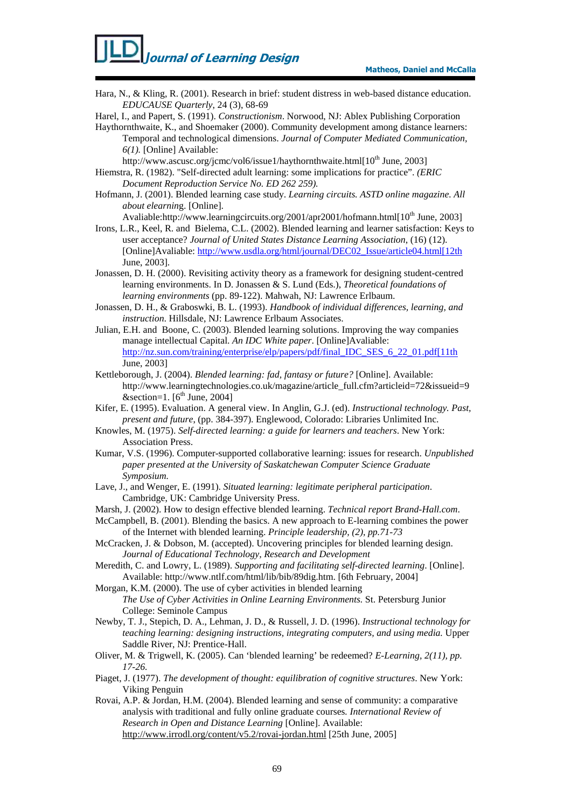Hara, N., & Kling, R. (2001). Research in brief: student distress in web-based distance education. *EDUCAUSE Quarterly*, 24 (3), 68-69

Harel, I., and Papert, S. (1991). *Constructionism*. Norwood, NJ: Ablex Publishing Corporation

- Haythornthwaite, K., and Shoemaker (2000). Community development among distance learners: Temporal and technological dimensions. *Journal of Computer Mediated Communication, 6(1).* [Online] Available:
	- http://www.ascusc.org/jcmc/vol6/issue1/haythornthwaite.html[10<sup>th</sup> June, 2003]
- Hiemstra, R. (1982). "Self-directed adult learning: some implications for practice". *(ERIC Document Reproduction Service No. ED 262 259).*
- Hofmann, J. (2001). Blended learning case study. *Learning circuits. ASTD online magazine. All about elearnin*g. [Online].

Avaliable:http://www.learningcircuits.org/2001/apr2001/hofmann.html[10<sup>th</sup> June, 2003]

- Irons, L.R., Keel, R. and Bielema, C.L. (2002). Blended learning and learner satisfaction: Keys to user acceptance? *Journal of United States Distance Learning Association*, (16) (12). [Online]Avaliable: http://www.usdla.org/html/journal/DEC02\_Issue/article04.html[12th June, 2003].
- Jonassen, D. H. (2000). Revisiting activity theory as a framework for designing student-centred learning environments. In D. Jonassen & S. Lund (Eds.), *Theoretical foundations of learning environments* (pp. 89-122). Mahwah, NJ: Lawrence Erlbaum.
- Jonassen, D. H., & Graboswki, B. L. (1993). *Handbook of individual differences, learning, and instruction*. Hillsdale, NJ: Lawrence Erlbaum Associates.
- Julian, E.H. and Boone, C. (2003). Blended learning solutions. Improving the way companies manage intellectual Capital. *An IDC White paper*. [Online]Avaliable: http://nz.sun.com/training/enterprise/elp/papers/pdf/final\_IDC\_SES\_6\_22\_01.pdf[11th June, 2003]
- Kettleborough, J. (2004). *Blended learning: fad, fantasy or future?* [Online]. Available: http://www.learningtechnologies.co.uk/magazine/article\_full.cfm?articleid=72&issueid=9 &section=1.  $[6^{th}$  June, 2004]
- Kifer, E. (1995). Evaluation. A general view. In Anglin, G.J. (ed). *Instructional technology. Past, present and future*, (pp. 384-397). Englewood, Colorado: Libraries Unlimited Inc.
- Knowles, M. (1975). *Self-directed learning: a guide for learners and teachers*. New York: Association Press.
- Kumar, V.S. (1996). Computer-supported collaborative learning: issues for research. *Unpublished paper presented at the University of Saskatchewan Computer Science Graduate Symposium.*
- Lave, J., and Wenger, E. (1991). *Situated learning: legitimate peripheral participation*. Cambridge, UK: Cambridge University Press.
- Marsh, J. (2002). How to design effective blended learning. *Technical report Brand-Hall.com*.
- McCampbell, B. (2001). Blending the basics. A new approach to E-learning combines the power of the Internet with blended learning. *Principle leadership, (2), pp.71-73*
- McCracken, J. & Dobson, M. (accepted). Uncovering principles for blended learning design. *Journal of Educational Technology, Research and Development*
- Meredith, C. and Lowry, L. (1989). *Supporting and facilitating self-directed learning*. [Online]. Available: http://www.ntlf.com/html/lib/bib/89dig.htm. [6th February, 2004]
- Morgan, K.M. (2000). The use of cyber activities in blended learning *The Use of Cyber Activities in Online Learning Environments.* St. Petersburg Junior College: Seminole Campus
- Newby, T. J., Stepich, D. A., Lehman, J. D., & Russell, J. D. (1996). *Instructional technology for teaching learning: designing instructions, integrating computers, and using media.* Upper Saddle River, NJ: Prentice-Hall.
- Oliver, M. & Trigwell, K. (2005). Can 'blended learning' be redeemed? *E-Learning, 2(11), pp. 17-26.*
- Piaget, J. (1977). *The development of thought: equilibration of cognitive structures*. New York: Viking Penguin
- Rovai, A.P. & Jordan, H.M. (2004). Blended learning and sense of community: a comparative analysis with traditional and fully online graduate courses*. International Review of Research in Open and Distance Learning* [Online]. Available: http://www.irrodl.org/content/v5.2/rovai-jordan.html [25th June, 2005]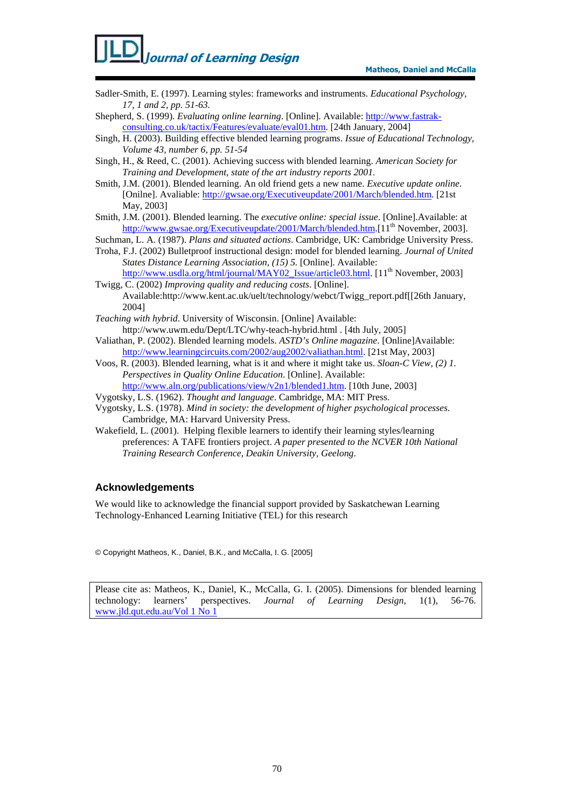- Sadler-Smith, E. (1997). Learning styles: frameworks and instruments. *Educational Psychology, 17, 1 and 2, pp. 51-63.*
- Shepherd, S. (1999). *Evaluating online learning*. [Online]. Available: http://www.fastrakconsulting.co.uk/tactix/Features/evaluate/eval01.htm. [24th January, 2004]
- Singh, H. (2003). Building effective blended learning programs. *Issue of Educational Technology, Volume 43, number 6, pp. 51-54*
- Singh, H., & Reed, C. (2001). Achieving success with blended learning. *American Society for Training and Development, state of the art industry reports 2001.*
- Smith, J.M. (2001). Blended learning. An old friend gets a new name. *Executive update online*. [Onilne]. Avaliable: http://gwsae.org/Executiveupdate/2001/March/blended.htm. [21st May, 2003]
- Smith, J.M. (2001). Blended learning. The *executive online: special issue*. [Online].Available: at http://www.gwsae.org/Executiveupdate/2001/March/blended.htm.[11<sup>th</sup> November, 2003].
- Suchman, L. A. (1987). *Plans and situated actions*. Cambridge, UK: Cambridge University Press.
- Troha, F.J. (2002) Bulletproof instructional design: model for blended learning. *Journal of United States Distance Learning Association, (15) 5.* [Online]. Available: http://www.usdla.org/html/journal/MAY02\_Issue/article03.html. [11<sup>th</sup> November, 2003]
- Twigg, C. (2002) *Improving quality and reducing costs*. [Online]. Available:http://www.kent.ac.uk/uelt/technology/webct/Twigg\_report.pdf[[26th January, 2004]
- *Teaching with hybrid*. University of Wisconsin. [Online] Available: http://www.uwm.edu/Dept/LTC/why-teach-hybrid.html . [4th July, 2005]
- Valiathan, P. (2002). Blended learning models. *ASTD's Online magazine*. [Online]Available: http://www.learningcircuits.com/2002/aug2002/valiathan.html. [21st May, 2003]
- Voos, R. (2003). Blended learning, what is it and where it might take us. *Sloan-C View, (2) 1. Perspectives in Quality Online Education*. [Online]. Available: http://www.aln.org/publications/view/v2n1/blended1.htm. [10th June, 2003]
- 
- Vygotsky, L.S. (1962). *Thought and language*. Cambridge, MA: MIT Press.
- Vygotsky, L.S. (1978). *Mind in society: the development of higher psychological processes*. Cambridge, MA: Harvard University Press.
- Wakefield, L. (2001). Helping flexible learners to identify their learning styles/learning preferences: A TAFE frontiers project. *A paper presented to the NCVER 10th National Training Research Conference, Deakin University, Geelong*.

#### **Acknowledgements**

We would like to acknowledge the financial support provided by Saskatchewan Learning Technology-Enhanced Learning Initiative (TEL) for this research

© Copyright Matheos, K., Daniel, B.K., and McCalla, I. G. [2005]

Please cite as: Matheos, K., Daniel, K., McCalla, G. I. (2005). Dimensions for blended learning technology: learners' perspectives. *Journal of Learning Design*, 1(1), 56-76. www.jld.qut.edu.au/Vol 1 No 1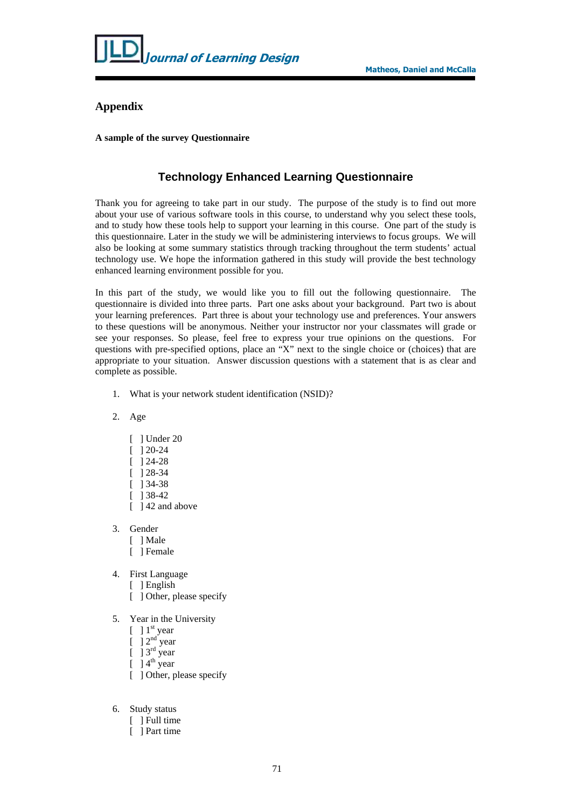

#### **Appendix**

#### **A sample of the survey Questionnaire**

### **Technology Enhanced Learning Questionnaire**

Thank you for agreeing to take part in our study. The purpose of the study is to find out more about your use of various software tools in this course, to understand why you select these tools, and to study how these tools help to support your learning in this course. One part of the study is this questionnaire. Later in the study we will be administering interviews to focus groups. We will also be looking at some summary statistics through tracking throughout the term students' actual technology use. We hope the information gathered in this study will provide the best technology enhanced learning environment possible for you.

In this part of the study, we would like you to fill out the following questionnaire. The questionnaire is divided into three parts. Part one asks about your background. Part two is about your learning preferences. Part three is about your technology use and preferences. Your answers to these questions will be anonymous. Neither your instructor nor your classmates will grade or see your responses. So please, feel free to express your true opinions on the questions. For questions with pre-specified options, place an "X" next to the single choice or (choices) that are appropriate to your situation. Answer discussion questions with a statement that is as clear and complete as possible.

- 1. What is your network student identification (NSID)?
- 2. Age
	- [ ] Under 20
	- [ ] 20-24
	- [ ] 24-28
	- [ ] 28-34
	- $\overline{1}$  1 34-38
	- [ ] 38-42
	- [  $142$  and above
- 3. Gender
	- [ ] Male
	- [ ] Female
- 4. First Language
	- [ ] English
	- [ ] Other, please specify
- 5. Year in the University
	- $\lbrack$  ]  $1^{\text{st}}$  year
	- $\lbrack$  ]  $2<sup>nd</sup>$  year
	- $\left[\begin{array}{c} \end{array}\right]$  3<sup>rd</sup> year
	- $[$  ] 4<sup>th</sup> year
	- [ ] Other, please specify
- 6. Study status
	- [ ] Full time
	- [ ] Part time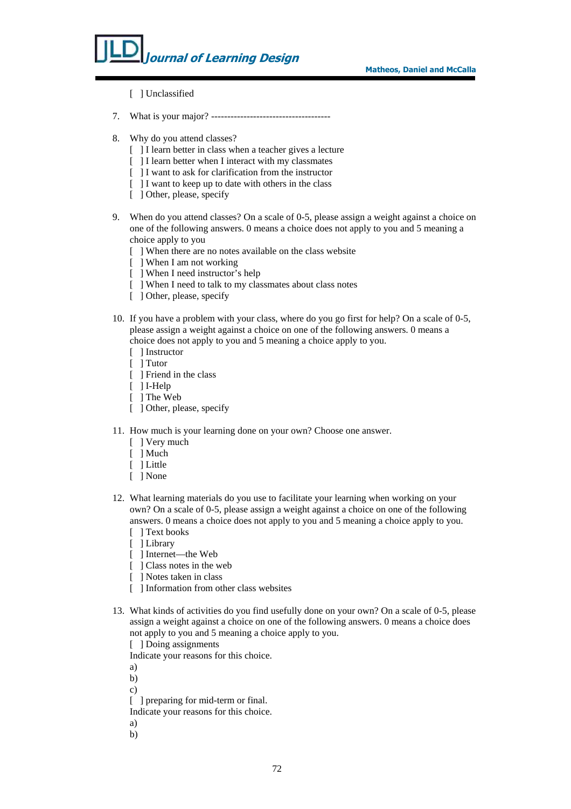- [ ] Unclassified
- 7. What is your major? -------------------------------------
- 8. Why do you attend classes?
	- [ ] I learn better in class when a teacher gives a lecture
	- [ ] I learn better when I interact with my classmates
	- [ ] I want to ask for clarification from the instructor
	- [ ] I want to keep up to date with others in the class
	- [ ] Other, please, specify
- 9. When do you attend classes? On a scale of 0-5, please assign a weight against a choice on one of the following answers. 0 means a choice does not apply to you and 5 meaning a choice apply to you
	- [ ] When there are no notes available on the class website
	- [ ] When I am not working
	- [ ] When I need instructor's help
	- [ ] When I need to talk to my classmates about class notes
	- [ ] Other, please, specify
- 10. If you have a problem with your class, where do you go first for help? On a scale of 0-5, please assign a weight against a choice on one of the following answers. 0 means a choice does not apply to you and 5 meaning a choice apply to you.
	- [ ] Instructor
	- [ ] Tutor
	- [ ] Friend in the class
	- [ ] I-Help
	- [ ] The Web
	- [ ] Other, please, specify
- 11. How much is your learning done on your own? Choose one answer.
	- [ ] Very much
	- [ ] Much
	- [ ] Little
	- [ ] None
- 12. What learning materials do you use to facilitate your learning when working on your own? On a scale of 0-5, please assign a weight against a choice on one of the following answers. 0 means a choice does not apply to you and 5 meaning a choice apply to you.
	- [ ] Text books
	- [ ] Library
	- [ ] Internet—the Web
	- [ ] Class notes in the web
	- [ ] Notes taken in class
	- [ ] Information from other class websites
- 13. What kinds of activities do you find usefully done on your own? On a scale of 0-5, please assign a weight against a choice on one of the following answers. 0 means a choice does not apply to you and 5 meaning a choice apply to you.
	- [ ] Doing assignments

Indicate your reasons for this choice.

- a)
- b)
- c)
- [ ] preparing for mid-term or final.

Indicate your reasons for this choice.

- a)
- b)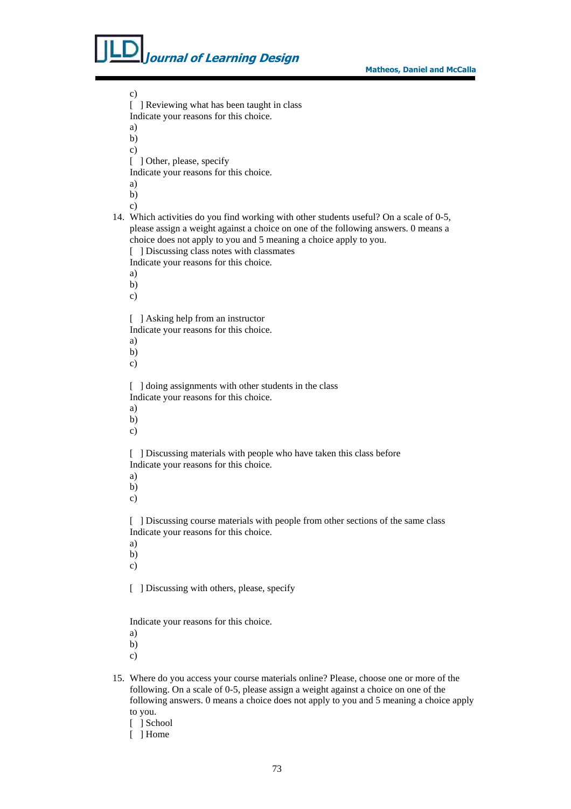#### Matheos, Daniel and McCalla

**Journal of Learning Design** 

c) [ ] Reviewing what has been taught in class Indicate your reasons for this choice. a) b) c) [ ] Other, please, specify Indicate your reasons for this choice. a) b) c) 14. Which activities do you find working with other students useful? On a scale of 0-5, please assign a weight against a choice on one of the following answers. 0 means a choice does not apply to you and 5 meaning a choice apply to you. [ ] Discussing class notes with classmates Indicate your reasons for this choice. a) b) c) [ ] Asking help from an instructor Indicate your reasons for this choice. a) b) c) [ ] doing assignments with other students in the class Indicate your reasons for this choice. a) b) c) [ ] Discussing materials with people who have taken this class before Indicate your reasons for this choice. a) b) c) [ ] Discussing course materials with people from other sections of the same class Indicate your reasons for this choice. a) b) c) [ ] Discussing with others, please, specify Indicate your reasons for this choice. a) b) c)

- 15. Where do you access your course materials online? Please, choose one or more of the following. On a scale of 0-5, please assign a weight against a choice on one of the following answers. 0 means a choice does not apply to you and 5 meaning a choice apply to you.
	- [ ] School
	- [ ] Home